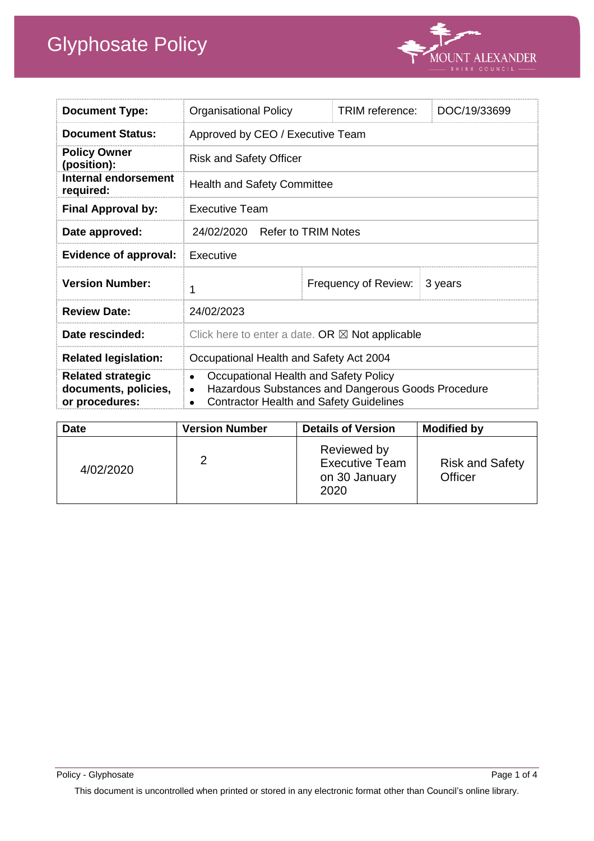

| <b>Document Type:</b>                                              | <b>Organisational Policy</b>                                                                                                                                            | TRIM reference:      | DOC/19/33699 |
|--------------------------------------------------------------------|-------------------------------------------------------------------------------------------------------------------------------------------------------------------------|----------------------|--------------|
| <b>Document Status:</b>                                            | Approved by CEO / Executive Team                                                                                                                                        |                      |              |
| <b>Policy Owner</b><br>(position):                                 | <b>Risk and Safety Officer</b>                                                                                                                                          |                      |              |
| Internal endorsement<br>required:                                  | <b>Health and Safety Committee</b>                                                                                                                                      |                      |              |
| <b>Final Approval by:</b>                                          | <b>Executive Team</b>                                                                                                                                                   |                      |              |
| Date approved:                                                     | 24/02/2020 Refer to TRIM Notes                                                                                                                                          |                      |              |
| <b>Evidence of approval:</b>                                       | Executive                                                                                                                                                               |                      |              |
| <b>Version Number:</b>                                             | 1                                                                                                                                                                       | Frequency of Review: | 3 years      |
| <b>Review Date:</b>                                                | 24/02/2023                                                                                                                                                              |                      |              |
| Date rescinded:                                                    | Click here to enter a date. OR $\boxtimes$ Not applicable                                                                                                               |                      |              |
| <b>Related legislation:</b>                                        | Occupational Health and Safety Act 2004                                                                                                                                 |                      |              |
| <b>Related strategic</b><br>documents, policies,<br>or procedures: | Occupational Health and Safety Policy<br>$\bullet$<br>Hazardous Substances and Dangerous Goods Procedure<br><b>Contractor Health and Safety Guidelines</b><br>$\bullet$ |                      |              |

| <b>Date</b> | <b>Version Number</b> | <b>Details of Version</b>                                     | <b>Modified by</b>                |
|-------------|-----------------------|---------------------------------------------------------------|-----------------------------------|
| 4/02/2020   | 2                     | Reviewed by<br><b>Executive Team</b><br>on 30 January<br>2020 | <b>Risk and Safety</b><br>Officer |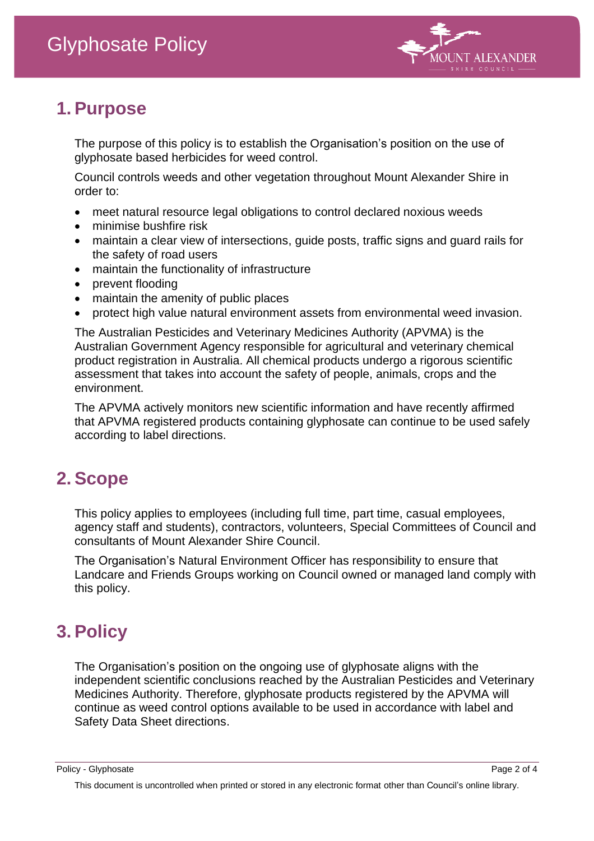

## **1. Purpose**

The purpose of this policy is to establish the Organisation's position on the use of glyphosate based herbicides for weed control.

Council controls weeds and other vegetation throughout Mount Alexander Shire in order to:

- meet natural resource legal obligations to control declared noxious weeds
- minimise bushfire risk
- maintain a clear view of intersections, guide posts, traffic signs and guard rails for the safety of road users
- maintain the functionality of infrastructure
- prevent flooding
- maintain the amenity of public places
- protect high value natural environment assets from environmental weed invasion.

The Australian Pesticides and Veterinary Medicines Authority (APVMA) is the Australian Government Agency responsible for agricultural and veterinary chemical product registration in Australia. All chemical products undergo a rigorous scientific assessment that takes into account the safety of people, animals, crops and the environment.

The APVMA actively monitors new scientific information and have recently affirmed that APVMA registered products containing glyphosate can continue to be used safely according to label directions.

# **2. Scope**

This policy applies to employees (including full time, part time, casual employees, agency staff and students), contractors, volunteers, Special Committees of Council and consultants of Mount Alexander Shire Council.

The Organisation's Natural Environment Officer has responsibility to ensure that Landcare and Friends Groups working on Council owned or managed land comply with this policy.

# **3. Policy**

The Organisation's position on the ongoing use of glyphosate aligns with the independent scientific conclusions reached by the Australian Pesticides and Veterinary Medicines Authority. Therefore, glyphosate products registered by the APVMA will continue as weed control options available to be used in accordance with label and Safety Data Sheet directions.

Policy - Glyphosate **Page 2 of 4** Page 2 of 4

This document is uncontrolled when printed or stored in any electronic format other than Council's online library.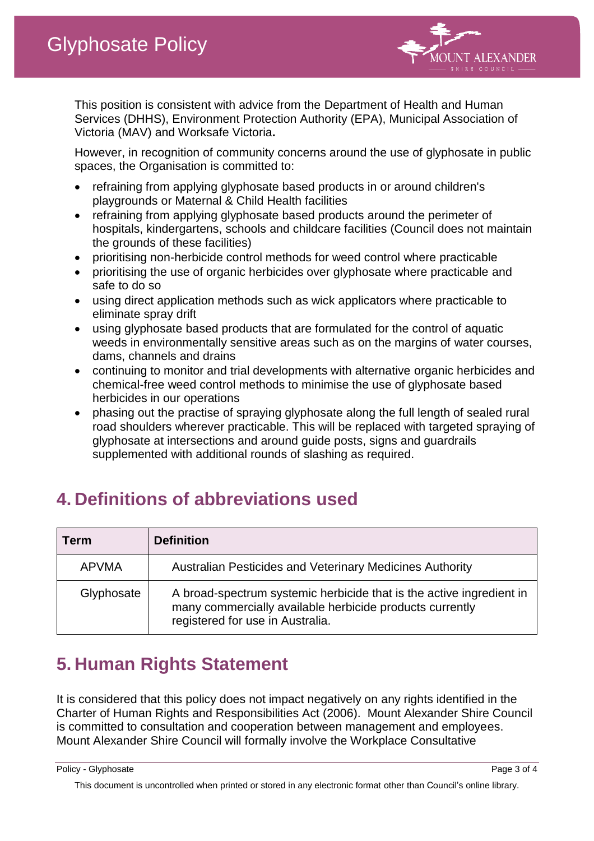

This position is consistent with advice from the Department of Health and Human Services (DHHS), Environment Protection Authority (EPA), Municipal Association of Victoria (MAV) and Worksafe Victoria**.**

However, in recognition of community concerns around the use of glyphosate in public spaces, the Organisation is committed to:

- refraining from applying glyphosate based products in or around children's playgrounds or Maternal & Child Health facilities
- refraining from applying glyphosate based products around the perimeter of hospitals, kindergartens, schools and childcare facilities (Council does not maintain the grounds of these facilities)
- prioritising non-herbicide control methods for weed control where practicable
- prioritising the use of organic herbicides over glyphosate where practicable and safe to do so
- using direct application methods such as wick applicators where practicable to eliminate spray drift
- using glyphosate based products that are formulated for the control of aquatic weeds in environmentally sensitive areas such as on the margins of water courses, dams, channels and drains
- continuing to monitor and trial developments with alternative organic herbicides and chemical-free weed control methods to minimise the use of glyphosate based herbicides in our operations
- phasing out the practise of spraying glyphosate along the full length of sealed rural road shoulders wherever practicable. This will be replaced with targeted spraying of glyphosate at intersections and around guide posts, signs and guardrails supplemented with additional rounds of slashing as required.

| Term         | <b>Definition</b>                                                                                                                                                    |
|--------------|----------------------------------------------------------------------------------------------------------------------------------------------------------------------|
| <b>APVMA</b> | <b>Australian Pesticides and Veterinary Medicines Authority</b>                                                                                                      |
| Glyphosate   | A broad-spectrum systemic herbicide that is the active ingredient in<br>many commercially available herbicide products currently<br>registered for use in Australia. |

# **4. Definitions of abbreviations used**

# **5. Human Rights Statement**

It is considered that this policy does not impact negatively on any rights identified in the Charter of Human Rights and Responsibilities Act (2006). Mount Alexander Shire Council is committed to consultation and cooperation between management and employees. Mount Alexander Shire Council will formally involve the Workplace Consultative

Policy - Glyphosate **Page 3 of 4** Page 3 of 4

This document is uncontrolled when printed or stored in any electronic format other than Council's online library.